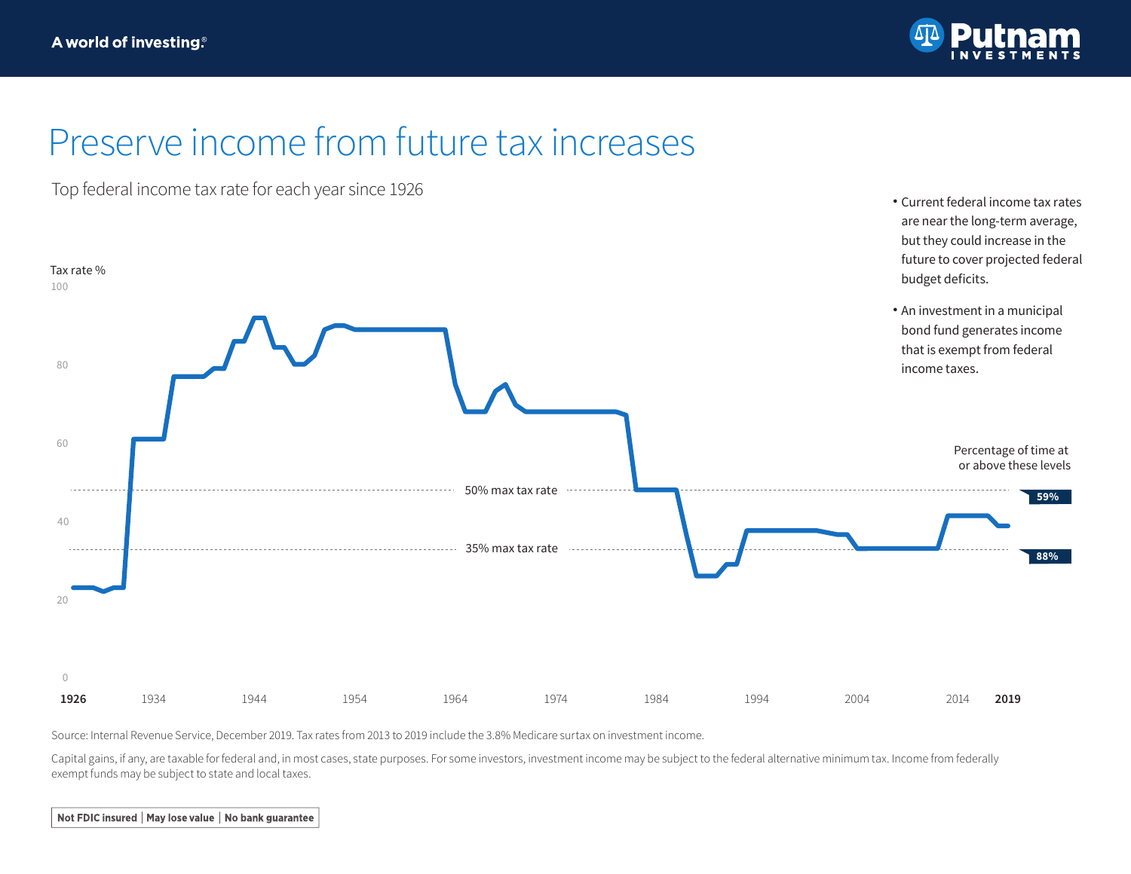

## Preserve income from future tax increases

Top federal income tax rate for each year since 1926 Current federal income tax rates



Source: Internal Revenue Service, December 2019. Tax rates from 2013 to 2019 include the 3.8% Medicare surtax on investment income.

Capital gains, if any, are taxable for federal and, in most cases, state purposes. For some investors, investment income may be subject to the federal alternative minimum tax. Income from federally exempt funds may be subject to state and local taxes.

Not FDIC insured | May lose value | No bank guarantee